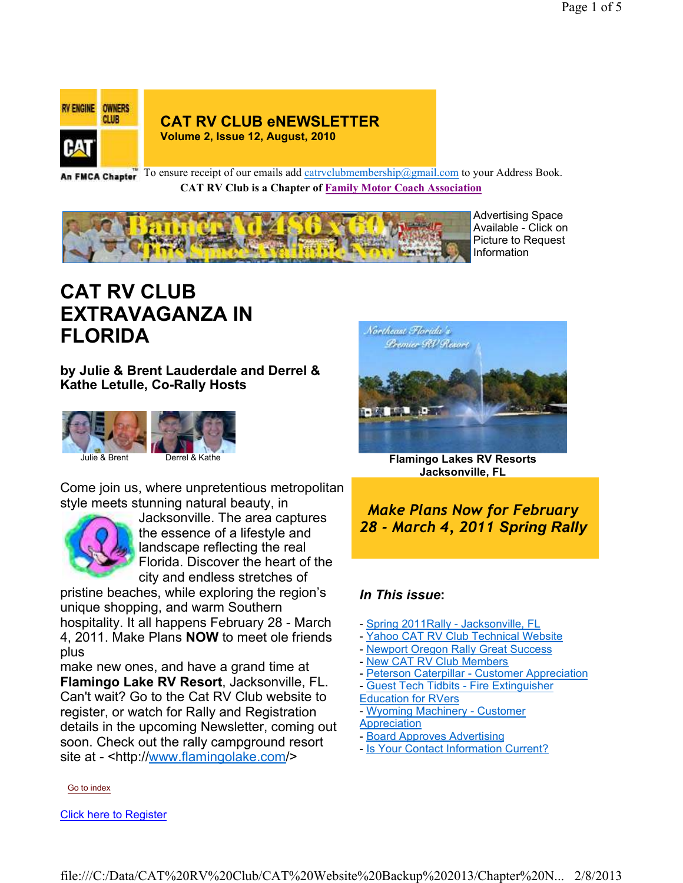

**CAT RV CLUB eNEWSLETTER Volume 2, Issue 12, August, 2010**

An FMCA Chapter<sup>To ensure receipt of our emails add catrvclubmembership@gmail.com to your Address Book.</sup> **CAT RV Club is a Chapter of Family Motor Coach Association** 



Advertising Space Available - Click on Picture to Request Information

## **CAT RV CLUB EXTRAVAGANZA IN FLORIDA**

#### **by Julie & Brent Lauderdale and Derrel & Kathe Letulle, Co-Rally Hosts**



Come join us, where unpretentious metropolitan style meets stunning natural beauty, in



Jacksonville. The area captures the essence of a lifestyle and landscape reflecting the real Florida. Discover the heart of the city and endless stretches of

pristine beaches, while exploring the region's unique shopping, and warm Southern

hospitality. It all happens February 28 - March 4, 2011. Make Plans **NOW** to meet ole friends plus

make new ones, and have a grand time at **Flamingo Lake RV Resort**, Jacksonville, FL. Can't wait? Go to the Cat RV Club website to register, or watch for Rally and Registration details in the upcoming Newsletter, coming out soon. Check out the rally campground resort site at - <http://www.flamingolake.com/>

Go to index

Click here to Register



**Flamingo Lakes RV Resorts Jacksonville, FL**

*Make Plans Now for February 28 - March 4, 2011 Spring Rally*

#### *In This issue***:**

- Spring 2011Rally Jacksonville, FL
- Yahoo CAT RV Club Technical Website
- Newport Oregon Rally Great Success
- New CAT RV Club Members
- Peterson Caterpillar Customer Appreciation
- Guest Tech Tidbits Fire Extinguisher

Education for RVers

- Wyoming Machinery Customer **Appreciation**
- Board Approves Advertising
- Is Your Contact Information Current?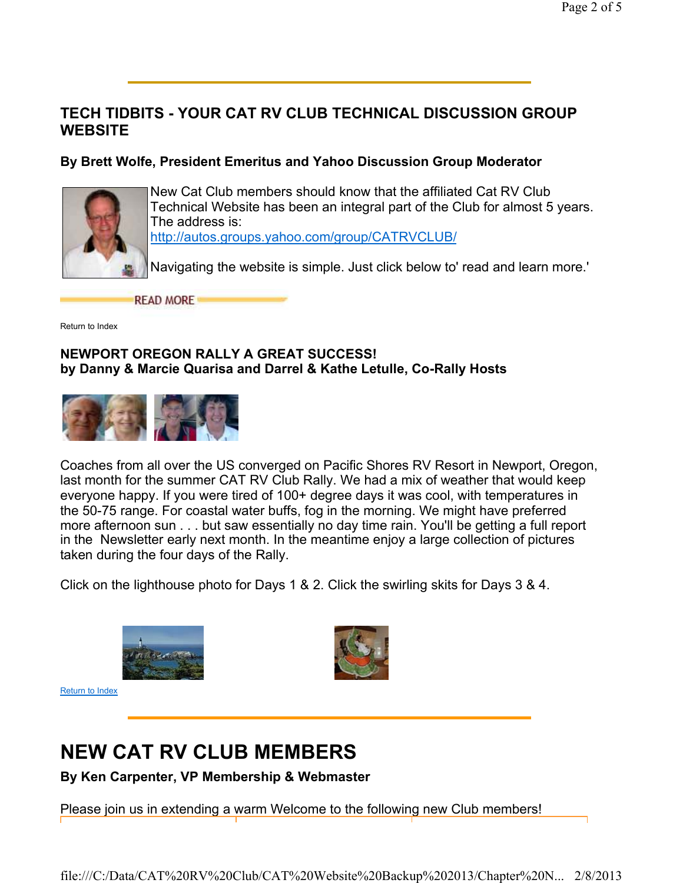### **TECH TIDBITS - YOUR CAT RV CLUB TECHNICAL DISCUSSION GROUP WEBSITE**

#### **By Brett Wolfe, President Emeritus and Yahoo Discussion Group Moderator**



New Cat Club members should know that the affiliated Cat RV Club Technical Website has been an integral part of the Club for almost 5 years. The address is: http://autos.groups.yahoo.com/group/CATRVCLUB/

Navigating the website is simple. Just click below to' read and learn more.'

**READ MORE** 

Return to Index

#### **NEWPORT OREGON RALLY A GREAT SUCCESS! by Danny & Marcie Quarisa and Darrel & Kathe Letulle, Co-Rally Hosts**



Coaches from all over the US converged on Pacific Shores RV Resort in Newport, Oregon, last month for the summer CAT RV Club Rally. We had a mix of weather that would keep everyone happy. If you were tired of 100+ degree days it was cool, with temperatures in the 50-75 range. For coastal water buffs, fog in the morning. We might have preferred more afternoon sun . . . but saw essentially no day time rain. You'll be getting a full report in the Newsletter early next month. In the meantime enjoy a large collection of pictures taken during the four days of the Rally.

Click on the lighthouse photo for Days 1 & 2. Click the swirling skits for Days 3 & 4.



Return to Index



# **NEW CAT RV CLUB MEMBERS**

**By Ken Carpenter, VP Membership & Webmaster**

Please join us in extending a warm Welcome to the following new Club members!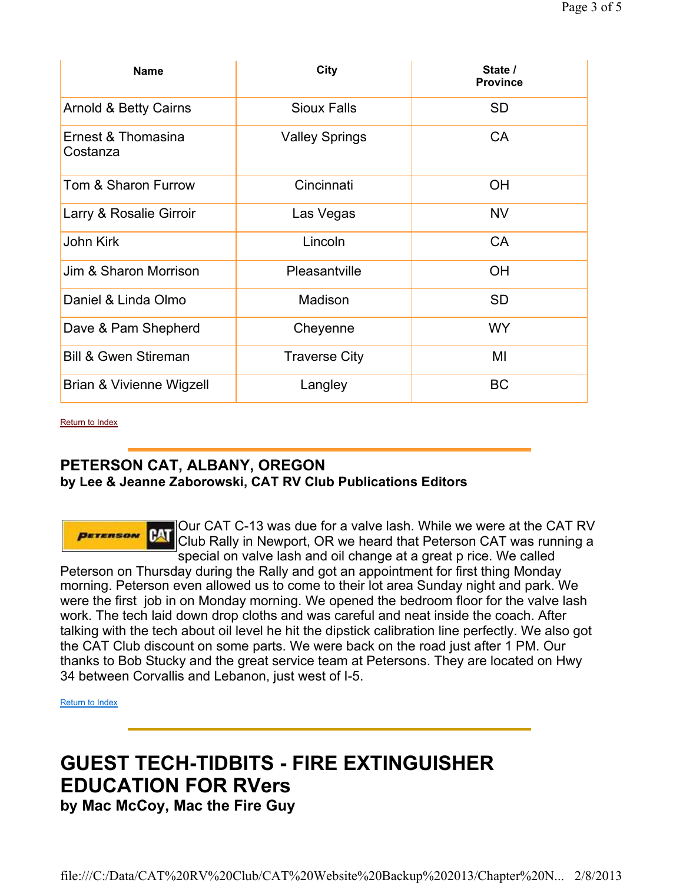| <b>Name</b>                      | City                  | State /<br><b>Province</b> |
|----------------------------------|-----------------------|----------------------------|
| <b>Arnold &amp; Betty Cairns</b> | <b>Sioux Falls</b>    | <b>SD</b>                  |
| Ernest & Thomasina<br>Costanza   | <b>Valley Springs</b> | <b>CA</b>                  |
| Tom & Sharon Furrow              | Cincinnati            | <b>OH</b>                  |
| Larry & Rosalie Girroir          | Las Vegas             | <b>NV</b>                  |
| <b>John Kirk</b>                 | Lincoln               | <b>CA</b>                  |
| Jim & Sharon Morrison            | Pleasantville         | <b>OH</b>                  |
| Daniel & Linda Olmo              | Madison               | <b>SD</b>                  |
| Dave & Pam Shepherd              | Cheyenne              | <b>WY</b>                  |
| <b>Bill &amp; Gwen Stireman</b>  | <b>Traverse City</b>  | MI                         |
| Brian & Vivienne Wigzell         | Langley               | <b>BC</b>                  |

Return to Index

**PETERSON** 

### **PETERSON CAT, ALBANY, OREGON by Lee & Jeanne Zaborowski, CAT RV Club Publications Editors**

#### Our CAT C-13 was due for a valve lash. While we were at the CAT RV Club Rally in Newport, OR we heard that Peterson CAT was running a special on valve lash and oil change at a great p rice. We called

Peterson on Thursday during the Rally and got an appointment for first thing Monday morning. Peterson even allowed us to come to their lot area Sunday night and park. We were the first job in on Monday morning. We opened the bedroom floor for the valve lash work. The tech laid down drop cloths and was careful and neat inside the coach. After talking with the tech about oil level he hit the dipstick calibration line perfectly. We also got the CAT Club discount on some parts. We were back on the road just after 1 PM. Our thanks to Bob Stucky and the great service team at Petersons. They are located on Hwy 34 between Corvallis and Lebanon, just west of I-5.

Return to Index

# **GUEST TECH-TIDBITS - FIRE EXTINGUISHER EDUCATION FOR RVers**

**by Mac McCoy, Mac the Fire Guy**

file:///C:/Data/CAT%20RV%20Club/CAT%20Website%20Backup%202013/Chapter%20N... 2/8/2013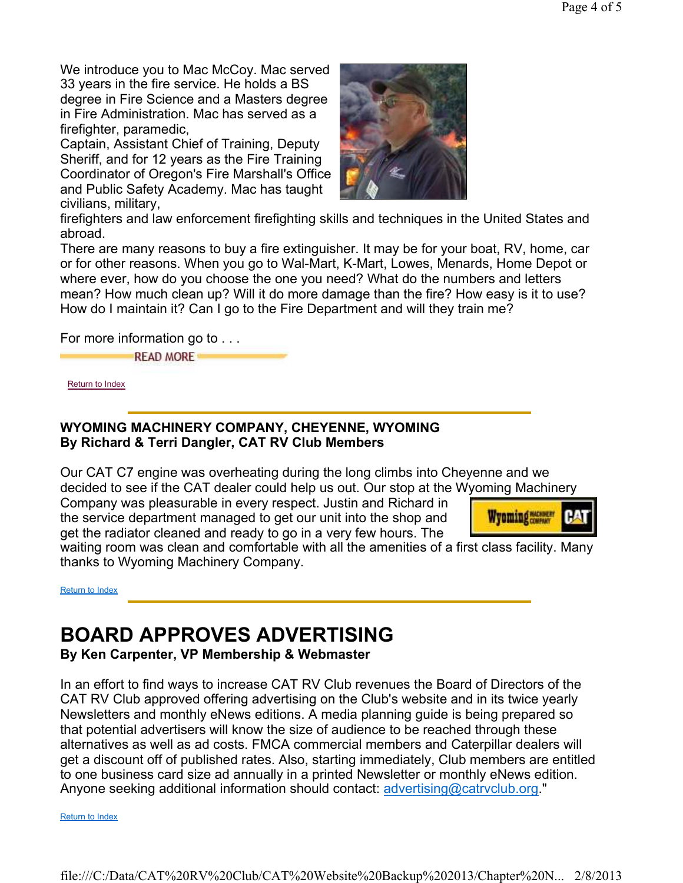We introduce you to Mac McCoy. Mac served 33 years in the fire service. He holds a BS degree in Fire Science and a Masters degree in Fire Administration. Mac has served as a firefighter, paramedic,

Captain, Assistant Chief of Training, Deputy Sheriff, and for 12 years as the Fire Training Coordinator of Oregon's Fire Marshall's Office and Public Safety Academy. Mac has taught civilians, military,



firefighters and law enforcement firefighting skills and techniques in the United States and abroad.

There are many reasons to buy a fire extinguisher. It may be for your boat, RV, home, car or for other reasons. When you go to Wal-Mart, K-Mart, Lowes, Menards, Home Depot or where ever, how do you choose the one you need? What do the numbers and letters mean? How much clean up? Will it do more damage than the fire? How easy is it to use? How do I maintain it? Can I go to the Fire Department and will they train me?

For more information go to . . .

**READ MORE** 

Return to Index

#### **WYOMING MACHINERY COMPANY, CHEYENNE, WYOMING By Richard & Terri Dangler, CAT RV Club Members**

Our CAT C7 engine was overheating during the long climbs into Cheyenne and we decided to see if the CAT dealer could help us out. Our stop at the Wyoming Machinery

Company was pleasurable in every respect. Justin and Richard in the service department managed to get our unit into the shop and get the radiator cleaned and ready to go in a very few hours. The



waiting room was clean and comfortable with all the amenities of a first class facility. Many thanks to Wyoming Machinery Company.

Return to Index

# **BOARD APPROVES ADVERTISING**

**By Ken Carpenter, VP Membership & Webmaster**

In an effort to find ways to increase CAT RV Club revenues the Board of Directors of the CAT RV Club approved offering advertising on the Club's website and in its twice yearly Newsletters and monthly eNews editions. A media planning guide is being prepared so that potential advertisers will know the size of audience to be reached through these alternatives as well as ad costs. FMCA commercial members and Caterpillar dealers will get a discount off of published rates. Also, starting immediately, Club members are entitled to one business card size ad annually in a printed Newsletter or monthly eNews edition. Anyone seeking additional information should contact: advertising@catrvclub.org."

Return to Index